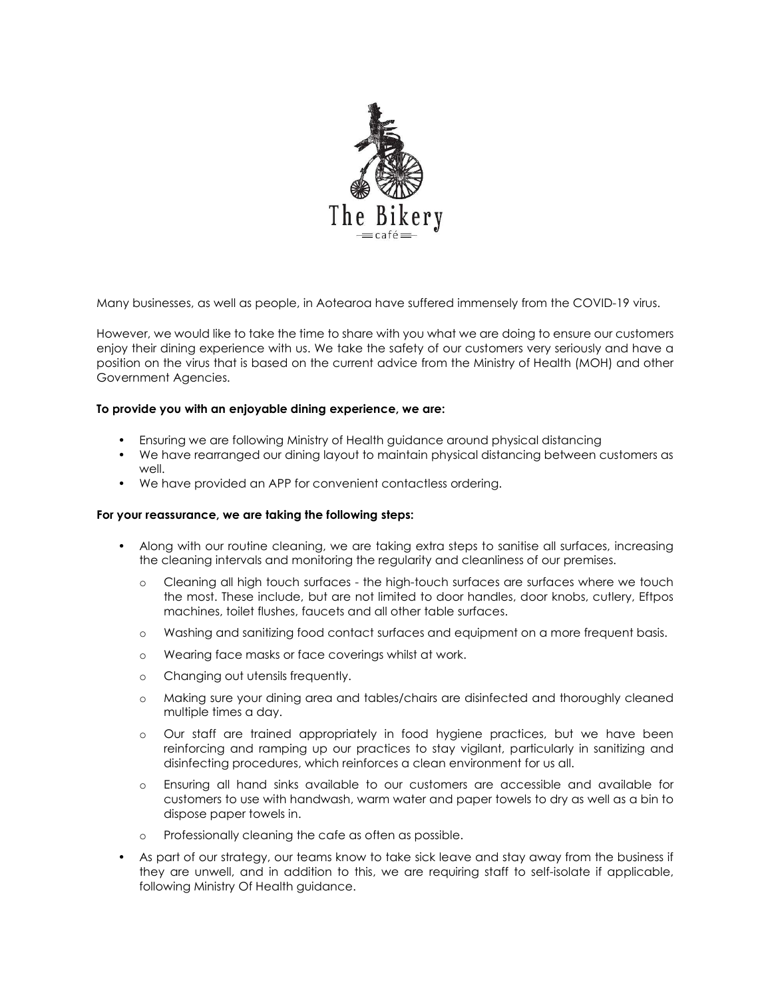

Many businesses, as well as people, in Aotearoa have suffered immensely from the COVID-19 virus.

However, we would like to take the time to share with you what we are doing to ensure our customers enjoy their dining experience with us. We take the safety of our customers very seriously and have a position on the virus that is based on the current advice from the Ministry of Health (MOH) and other Government Agencies.

## To provide you with an enjoyable dining experience, we are:

- Ensuring we are following Ministry of Health guidance around physical distancing
- We have rearranged our dining layout to maintain physical distancing between customers as well.
- We have provided an APP for convenient contactless ordering.

## For your reassurance, we are taking the following steps:

- Along with our routine cleaning, we are taking extra steps to sanitise all surfaces, increasing the cleaning intervals and monitoring the regularity and cleanliness of our premises.
	- o Cleaning all high touch surfaces the high-touch surfaces are surfaces where we touch the most. These include, but are not limited to door handles, door knobs, cutlery, Eftpos machines, toilet flushes, faucets and all other table surfaces.
	- o Washing and sanitizing food contact surfaces and equipment on a more frequent basis.
	- o Wearing face masks or face coverings whilst at work.
	- o Changing out utensils frequently.
	- o Making sure your dining area and tables/chairs are disinfected and thoroughly cleaned multiple times a day.
	- o Our staff are trained appropriately in food hygiene practices, but we have been reinforcing and ramping up our practices to stay vigilant, particularly in sanitizing and disinfecting procedures, which reinforces a clean environment for us all.
	- o Ensuring all hand sinks available to our customers are accessible and available for customers to use with handwash, warm water and paper towels to dry as well as a bin to dispose paper towels in.
	- Professionally cleaning the cafe as often as possible.
- As part of our strategy, our teams know to take sick leave and stay away from the business if they are unwell, and in addition to this, we are requiring staff to self-isolate if applicable, following Ministry Of Health guidance.